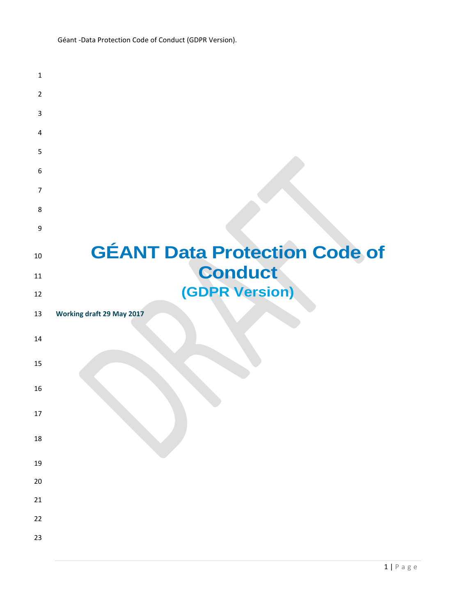| 1              |                                      |
|----------------|--------------------------------------|
| 2              |                                      |
| 3              |                                      |
| 4              |                                      |
| 5              |                                      |
| 6              |                                      |
| $\overline{7}$ |                                      |
| 8              |                                      |
| 9              |                                      |
| 10             | <b>GÉANT Data Protection Code of</b> |
| 11             | <b>Conduct</b>                       |
| 12             | <b>(GDPR Version)</b>                |
| 13             | <b>Working draft 29 May 2017</b>     |
| 14             |                                      |
| 15             |                                      |
| 16             |                                      |
| 17             |                                      |
| 18             |                                      |
| 19             |                                      |
| 20             |                                      |
| 21             |                                      |
| 22             |                                      |
| 23             |                                      |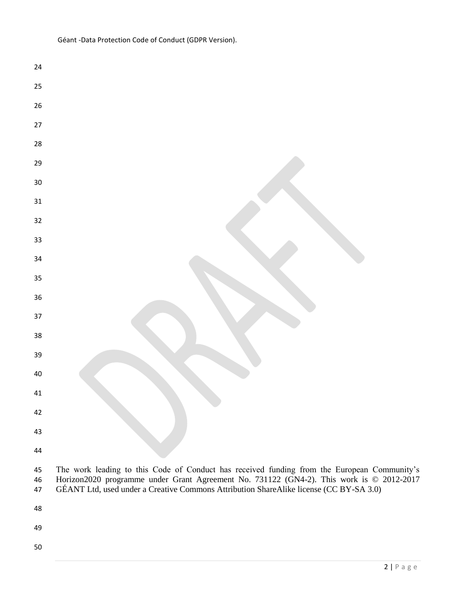| 24              |                                                                                                                                                                                                                                                                                   |
|-----------------|-----------------------------------------------------------------------------------------------------------------------------------------------------------------------------------------------------------------------------------------------------------------------------------|
| 25              |                                                                                                                                                                                                                                                                                   |
| 26              |                                                                                                                                                                                                                                                                                   |
| 27              |                                                                                                                                                                                                                                                                                   |
| 28              |                                                                                                                                                                                                                                                                                   |
| 29              |                                                                                                                                                                                                                                                                                   |
| 30 <sub>o</sub> |                                                                                                                                                                                                                                                                                   |
| 31              |                                                                                                                                                                                                                                                                                   |
| 32              |                                                                                                                                                                                                                                                                                   |
| 33              |                                                                                                                                                                                                                                                                                   |
| 34              |                                                                                                                                                                                                                                                                                   |
| 35              |                                                                                                                                                                                                                                                                                   |
| 36              |                                                                                                                                                                                                                                                                                   |
| 37              |                                                                                                                                                                                                                                                                                   |
| 38              |                                                                                                                                                                                                                                                                                   |
| 39              |                                                                                                                                                                                                                                                                                   |
| 40              |                                                                                                                                                                                                                                                                                   |
| 41              |                                                                                                                                                                                                                                                                                   |
| 42              |                                                                                                                                                                                                                                                                                   |
| 43              |                                                                                                                                                                                                                                                                                   |
| 44              |                                                                                                                                                                                                                                                                                   |
| 45<br>46<br>47  | The work leading to this Code of Conduct has received funding from the European Community's<br>Horizon2020 programme under Grant Agreement No. 731122 (GN4-2). This work is © 2012-2017<br>GÉANT Ltd, used under a Creative Commons Attribution ShareAlike license (CC BY-SA 3.0) |
| 48              |                                                                                                                                                                                                                                                                                   |
| 49              |                                                                                                                                                                                                                                                                                   |
| 50              |                                                                                                                                                                                                                                                                                   |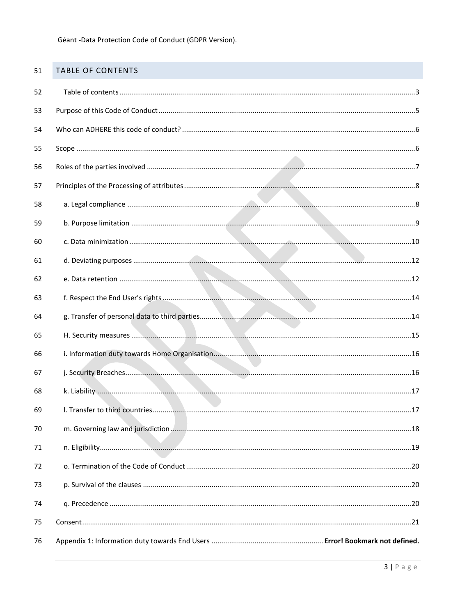#### <span id="page-2-0"></span>TABLE OF CONTENTS 51

| 52 |     |
|----|-----|
| 53 |     |
| 54 |     |
| 55 |     |
| 56 |     |
| 57 |     |
| 58 |     |
| 59 |     |
| 60 |     |
| 61 |     |
| 62 |     |
| 63 |     |
| 64 |     |
| 65 |     |
| 66 |     |
| 67 |     |
| 68 |     |
| 69 |     |
| 70 | .18 |
| 71 |     |
| 72 |     |
| 73 |     |
| 74 |     |
| 75 |     |
| 76 |     |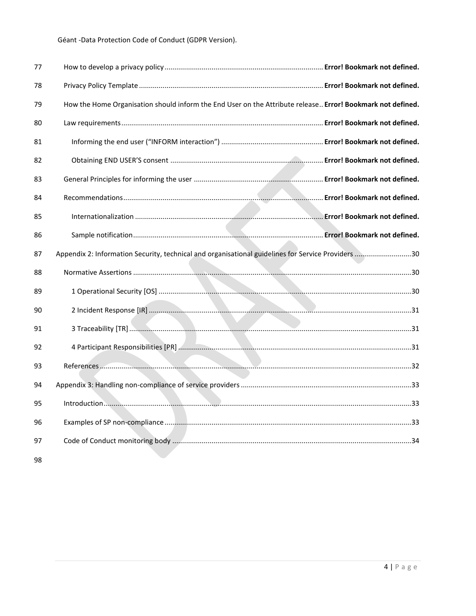| 77 |                                                                                                            |
|----|------------------------------------------------------------------------------------------------------------|
| 78 |                                                                                                            |
| 79 | How the Home Organisation should inform the End User on the Attribute release Error! Bookmark not defined. |
| 80 |                                                                                                            |
| 81 |                                                                                                            |
| 82 |                                                                                                            |
| 83 |                                                                                                            |
| 84 |                                                                                                            |
| 85 |                                                                                                            |
| 86 |                                                                                                            |
| 87 | Appendix 2: Information Security, technical and organisational guidelines for Service Providers 30         |
| 88 |                                                                                                            |
| 89 |                                                                                                            |
| 90 |                                                                                                            |
| 91 |                                                                                                            |
| 92 |                                                                                                            |
| 93 |                                                                                                            |
| 94 |                                                                                                            |
| 95 |                                                                                                            |
| 96 |                                                                                                            |
| 97 |                                                                                                            |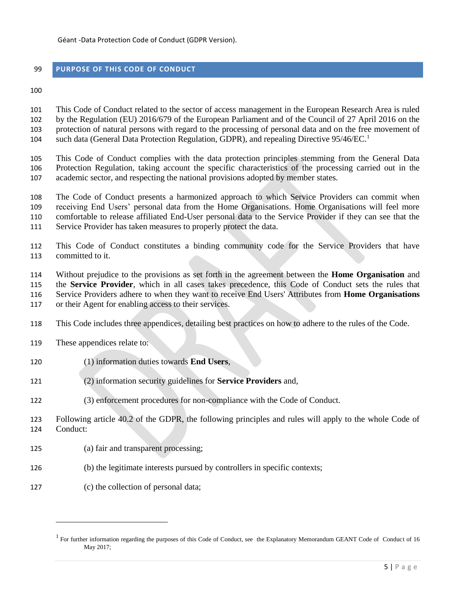#### <span id="page-4-0"></span>**PURPOSE OF THIS CODE OF CONDUCT**

 This Code of Conduct related to the sector of access management in the European Research Area is ruled by the Regulation (EU) 2016/679 of the European Parliament and of the Council of 27 April 2016 on the protection of natural persons with regard to the processing of personal data and on the free movement of such data (General Data Protection Regulation, GDPR), and repealing Directive 95/46/EC.<sup>1</sup> 

 This Code of Conduct complies with the data protection principles stemming from the General Data Protection Regulation, taking account the specific characteristics of the processing carried out in the academic sector, and respecting the national provisions adopted by member states.

 The Code of Conduct presents a harmonized approach to which Service Providers can commit when receiving End Users' personal data from the Home Organisations. Home Organisations will feel more comfortable to release affiliated End-User personal data to the Service Provider if they can see that the 111 Service Provider has taken measures to properly protect the data.

 This Code of Conduct constitutes a binding community code for the Service Providers that have committed to it.

 Without prejudice to the provisions as set forth in the agreement between the **Home Organisation** and the **Service Provider**, which in all cases takes precedence, this Code of Conduct sets the rules that Service Providers adhere to when they want to receive End Users' Attributes from **Home Organisations** or their Agent for enabling access to their services.

- This Code includes three appendices, detailing best practices on how to adhere to the rules of the Code.
- These appendices relate to:
- (1) information duties towards **End Users**,
- (2) information security guidelines for **Service Providers** and,
- (3) enforcement procedures for non-compliance with the Code of Conduct.
- Following article 40.2 of the GDPR, the following principles and rules will apply to the whole Code of Conduct:
- (a) fair and transparent processing;
- (b) the legitimate interests pursued by controllers in specific contexts;
- (c) the collection of personal data;

 $\overline{a}$ 

<sup>&</sup>lt;sup>1</sup> For further information regarding the purposes of this Code of Conduct, see the Explanatory Memorandum GEANT Code of Conduct of 16 May 2017;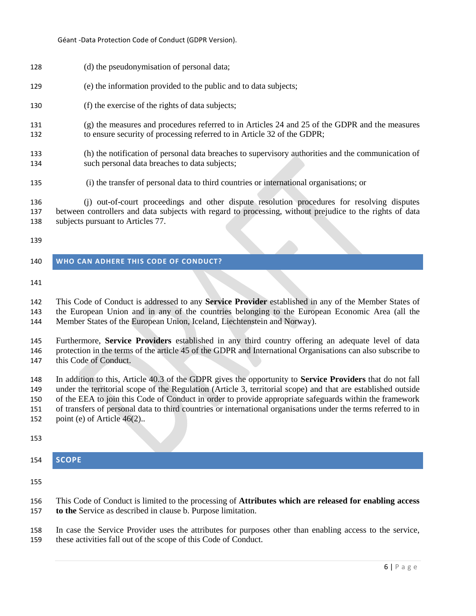- (d) the pseudonymisation of personal data;
- (e) the information provided to the public and to data subjects;
- (f) the exercise of the rights of data subjects;
- (g) the measures and procedures referred to in Articles 24 and 25 of the GDPR and the measures to ensure security of processing referred to in Article 32 of the GDPR;
- (h) the notification of personal data breaches to supervisory authorities and the communication of such personal data breaches to data subjects;
- (i) the transfer of personal data to third countries or international organisations; or

 (j) out-of-court proceedings and other dispute resolution procedures for resolving disputes between controllers and data subjects with regard to processing, without prejudice to the rights of data subjects pursuant to Articles 77.

#### <span id="page-5-0"></span>**WHO CAN ADHERE THIS CODE OF CONDUCT?**

 This Code of Conduct is addressed to any **Service Provider** established in any of the Member States of the European Union and in any of the countries belonging to the European Economic Area (all the Member States of the European Union, Iceland, Liechtenstein and Norway).

 Furthermore, **Service Providers** established in any third country offering an adequate level of data protection in the terms of the article 45 of the GDPR and International Organisations can also subscribe to this Code of Conduct.

 In addition to this, Article 40.3 of the GDPR gives the opportunity to **Service Providers** that do not fall under the territorial scope of the Regulation (Article 3, territorial scope) and that are established outside of the EEA to join this Code of Conduct in order to provide appropriate safeguards within the framework of transfers of personal data to third countries or international organisations under the terms referred to in

- point (e) of Article 46(2)..
- 

#### <span id="page-5-1"></span>**SCOPE**

- This Code of Conduct is limited to the processing of **Attributes which are released for enabling access**
- **to the** Service as described in clause [b. Purpose limitation.](#page-8-0)

 In case the Service Provider uses the attributes for purposes other than enabling access to the service, these activities fall out of the scope of this Code of Conduct.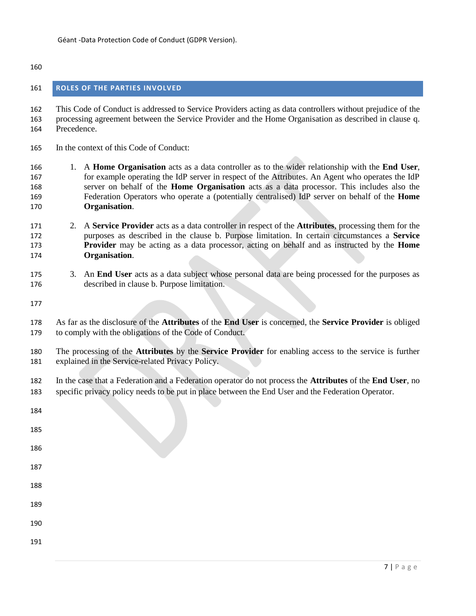#### <span id="page-6-0"></span>**ROLES OF THE PARTIES INVOLVED**

 This Code of Conduct is addressed to Service Providers acting as data controllers without prejudice of the processing agreement between the Service Provider and the Home Organisation as described in clause [q.](#page-19-2)  [Precedence.](#page-19-2)

- In the context of this Code of Conduct:
- 1. A **Home Organisation** acts as a data controller as to the wider relationship with the **End User**, for example operating the IdP server in respect of the Attributes. An Agent who operates the IdP server on behalf of the **Home Organisation** acts as a data processor. This includes also the Federation Operators who operate a (potentially centralised) IdP server on behalf of the **Home Organisation**.
- 2. A **Service Provider** acts as a data controller in respect of the **Attributes**, processing them for the purposes as described in the clause [b. Purpose limitation.](#page-8-0) In certain circumstances a **Service Provider** may be acting as a data processor, acting on behalf and as instructed by the **Home Organisation**.
- 3. An **End User** acts as a data subject whose personal data are being processed for the purposes as described in clause [b. Purpose limitation.](#page-8-0)
- 
- As far as the disclosure of the **Attributes** of the **End User** is concerned, the **Service Provider** is obliged to comply with the obligations of the Code of Conduct.
- The processing of the **Attributes** by the **Service Provider** for enabling access to the service is further explained in the Service-related Privacy Policy.
- In the case that a Federation and a Federation operator do not process the **Attributes** of the **End User**, no specific privacy policy needs to be put in place between the End User and the Federation Operator.

| 184 |  |
|-----|--|
| 185 |  |
| 186 |  |
| 187 |  |
| 188 |  |
| 189 |  |
| 190 |  |
| 191 |  |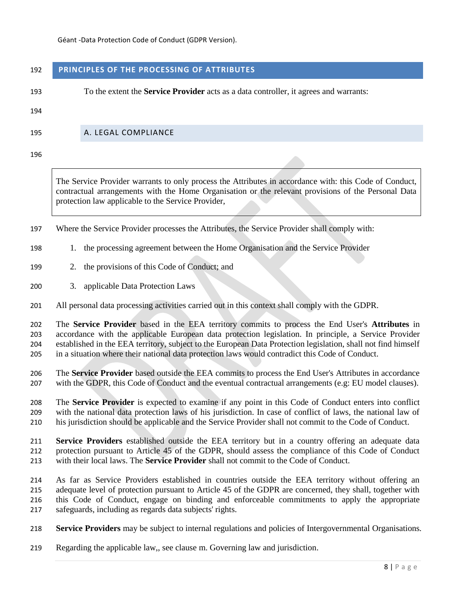#### <span id="page-7-0"></span>**PRINCIPLES OF THE PROCESSING OF ATTRIBUTES**

| 193 | To the extent the <b>Service Provider</b> acts as a data controller, it agrees and warrants: |
|-----|----------------------------------------------------------------------------------------------|
| 194 |                                                                                              |
| 195 | A. LEGAL COMPLIANCE                                                                          |

<span id="page-7-1"></span>

The Service Provider warrants to only process the Attributes in accordance with: this Code of Conduct, contractual arrangements with the Home Organisation or the relevant provisions of the Personal Data protection law applicable to the Service Provider,

- Where the Service Provider processes the Attributes, the Service Provider shall comply with:
- 198 1. the processing agreement between the Home Organisation and the Service Provider
- 2. the provisions of this Code of Conduct; and
- 3. applicable Data Protection Laws

All personal data processing activities carried out in this context shall comply with the GDPR.

 The **Service Provider** based in the EEA territory commits to process the End User's **Attributes** in accordance with the applicable European data protection legislation. In principle, a Service Provider established in the EEA territory, subject to the European Data Protection legislation, shall not find himself in a situation where their national data protection laws would contradict this Code of Conduct.

 The **Service Provider** based outside the EEA commits to process the End User's Attributes in accordance with the GDPR, this Code of Conduct and the eventual contractual arrangements (e.g: EU model clauses).

 The **Service Provider** is expected to examine if any point in this Code of Conduct enters into conflict with the national data protection laws of his jurisdiction. In case of conflict of laws, the national law of his jurisdiction should be applicable and the Service Provider shall not commit to the Code of Conduct.

 **Service Providers** established outside the EEA territory but in a country offering an adequate data protection pursuant to Article 45 of the GDPR, should assess the compliance of this Code of Conduct with their local laws. The **Service Provider** shall not commit to the Code of Conduct.

 As far as Service Providers established in countries outside the EEA territory without offering an adequate level of protection pursuant to Article 45 of the GDPR are concerned, they shall, together with this Code of Conduct, engage on binding and enforceable commitments to apply the appropriate safeguards, including as regards data subjects' rights.

- **Service Providers** may be subject to internal regulations and policies of Intergovernmental Organisations.
- Regarding the applicable law,, see clause [m. Governing law and jurisdiction.](#page-17-1)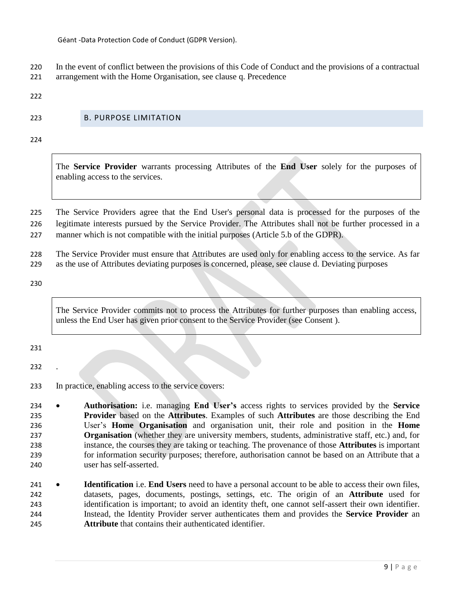In the event of conflict between the provisions of this Code of Conduct and the provisions of a contractual arrangement with the Home Organisation, see clause [q. Precedence](#page-19-2)

#### <span id="page-8-0"></span>B. PURPOSE LIMITATION

The **Service Provider** warrants processing Attributes of the **End User** solely for the purposes of enabling access to the services.

 The Service Providers agree that the End User's personal data is processed for the purposes of the legitimate interests pursued by the Service Provider. The Attributes shall not be further processed in a

manner which is not compatible with the initial purposes (Article 5.b of the GDPR).

The Service Provider must ensure that Attributes are used only for enabling access to the service. As far

as the use of Attributes deviating purposes is concerned, please, see clause [d. Deviating purposes](#page-11-0)

[The Service Provider commits not to process the Attributes for further purposes than enabling access,](#page-11-0)  [unless the End User has given prior consent to the Service Provider \(see Consent](#page-11-0) ).

- .
- In practice, enabling access to the service covers:

 **Authorisation:** i.e. managing **End User's** access rights to services provided by the **Service Provider** based on the **Attributes**. Examples of such **Attributes** are those describing the End User's **Home Organisation** and organisation unit, their role and position in the **Home Organisation** (whether they are university members, students, administrative staff, etc.) and, for instance, the courses they are taking or teaching. The provenance of those **Attributes** is important for information security purposes; therefore, authorisation cannot be based on an Attribute that a user has self-asserted.

 **Identification** i.e. **End Users** need to have a personal account to be able to access their own files, datasets, pages, documents, postings, settings, etc. The origin of an **Attribute** used for identification is important; to avoid an identity theft, one cannot self-assert their own identifier. Instead, the Identity Provider server authenticates them and provides the **Service Provider** an **Attribute** that contains their authenticated identifier.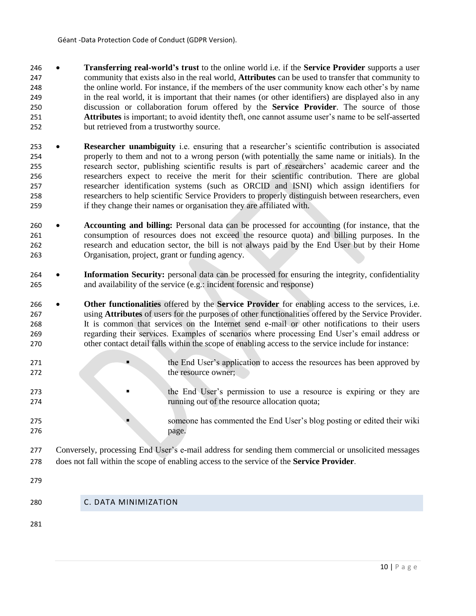- **Transferring real-world's trust** to the online world i.e. if the **Service Provider** supports a user community that exists also in the real world, **Attributes** can be used to transfer that community to the online world. For instance, if the members of the user community know each other's by name in the real world, it is important that their names (or other identifiers) are displayed also in any discussion or collaboration forum offered by the **Service Provider**. The source of those **Attributes** is important; to avoid identity theft, one cannot assume user's name to be self-asserted but retrieved from a trustworthy source.
- **Researcher unambiguity** i.e. ensuring that a researcher's scientific contribution is associated properly to them and not to a wrong person (with potentially the same name or initials). In the research sector, publishing scientific results is part of researchers' academic career and the researchers expect to receive the merit for their scientific contribution. There are global researcher identification systems (such as ORCID and ISNI) which assign identifiers for researchers to help scientific Service Providers to properly distinguish between researchers, even if they change their names or organisation they are affiliated with.
- **Accounting and billing:** Personal data can be processed for accounting (for instance, that the consumption of resources does not exceed the resource quota) and billing purposes. In the research and education sector, the bill is not always paid by the End User but by their Home Organisation, project, grant or funding agency.
- **Information Security:** personal data can be processed for ensuring the integrity, confidentiality and availability of the service (e.g.: incident forensic and response)
- **Other functionalities** offered by the **Service Provider** for enabling access to the services, i.e. using **Attributes** of users for the purposes of other functionalities offered by the Service Provider. It is common that services on the Internet send e-mail or other notifications to their users regarding their services. Examples of scenarios where processing End User's email address or other contact detail falls within the scope of enabling access to the service include for instance:
- **the End User's application to access the resources has been approved by** 272 the resource owner;
- **the End User's permission to use a resource is expiring or they are** running out of the resource allocation quota;
- 275 someone has commented the End User's blog posting or edited their wiki 276 page.
- Conversely, processing End User's e-mail address for sending them commercial or unsolicited messages does not fall within the scope of enabling access to the service of the **Service Provider**.
- 
- <span id="page-9-0"></span>C. DATA MINIMIZATION
-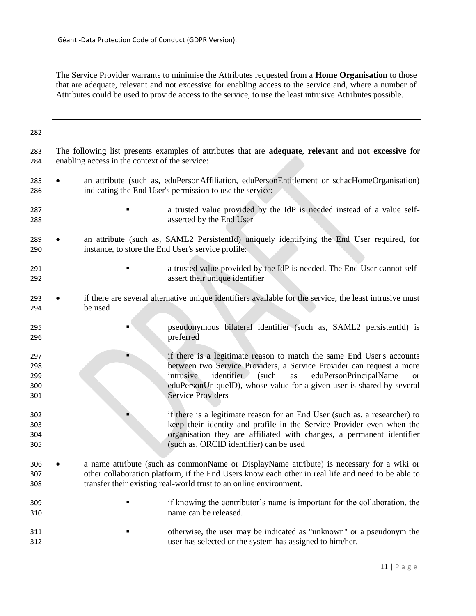The Service Provider warrants to minimise the Attributes requested from a **Home Organisation** to those that are adequate, relevant and not excessive for enabling access to the service and, where a number of Attributes could be used to provide access to the service, to use the least intrusive Attributes possible.

| 283<br>284                      | enabling access in the context of the service: | The following list presents examples of attributes that are <b>adequate</b> , relevant and not excessive for                                                                                                                                                                                                                        |
|---------------------------------|------------------------------------------------|-------------------------------------------------------------------------------------------------------------------------------------------------------------------------------------------------------------------------------------------------------------------------------------------------------------------------------------|
| 285<br>286                      |                                                | an attribute (such as, eduPersonAffiliation, eduPersonEntitlement or schacHomeOrganisation)<br>indicating the End User's permission to use the service:                                                                                                                                                                             |
| 287<br>288                      |                                                | a trusted value provided by the IdP is needed instead of a value self-<br>asserted by the End User                                                                                                                                                                                                                                  |
| 289<br>290                      |                                                | an attribute (such as, SAML2 PersistentId) uniquely identifying the End User required, for<br>instance, to store the End User's service profile:                                                                                                                                                                                    |
| 291<br>292                      |                                                | a trusted value provided by the IdP is needed. The End User cannot self-<br>assert their unique identifier                                                                                                                                                                                                                          |
| 293<br>294                      | be used                                        | if there are several alternative unique identifiers available for the service, the least intrusive must                                                                                                                                                                                                                             |
| 295<br>296                      |                                                | pseudonymous bilateral identifier (such as, SAML2 persistentId) is<br>preferred                                                                                                                                                                                                                                                     |
| 297<br>298<br>299<br>300<br>301 |                                                | if there is a legitimate reason to match the same End User's accounts<br>between two Service Providers, a Service Provider can request a more<br>identifier<br>(such<br>eduPersonPrincipalName<br>intrusive<br>as<br><b>or</b><br>eduPersonUniqueID), whose value for a given user is shared by several<br><b>Service Providers</b> |
| 302<br>303<br>304<br>305        |                                                | if there is a legitimate reason for an End User (such as, a researcher) to<br>keep their identity and profile in the Service Provider even when the<br>organisation they are affiliated with changes, a permanent identifier<br>(such as, ORCID identifier) can be used                                                             |
| 306<br>307<br>308               |                                                | a name attribute (such as commonName or DisplayName attribute) is necessary for a wiki or<br>other collaboration platform, if the End Users know each other in real life and need to be able to<br>transfer their existing real-world trust to an online environment.                                                               |
| 309<br>310                      |                                                | if knowing the contributor's name is important for the collaboration, the<br>name can be released.                                                                                                                                                                                                                                  |
| 311<br>312                      |                                                | otherwise, the user may be indicated as "unknown" or a pseudonym the<br>user has selected or the system has assigned to him/her.                                                                                                                                                                                                    |
|                                 |                                                |                                                                                                                                                                                                                                                                                                                                     |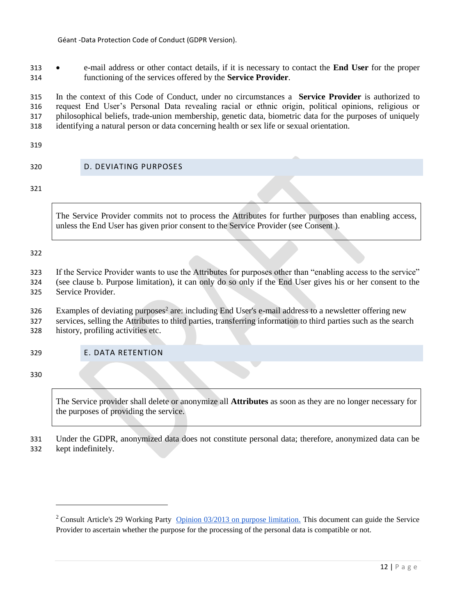e-mail address or other contact details, if it is necessary to contact the **End User** for the proper functioning of the services offered by the **Service Provider**.

 In the context of this Code of Conduct, under no circumstances a **Service Provider** is authorized to request End User's Personal Data revealing racial or ethnic origin, political opinions, religious or philosophical beliefs, trade-union membership, genetic data, biometric data for the purposes of uniquely identifying a natural person or data concerning health or sex life or sexual orientation.

<span id="page-11-0"></span>

D. DEVIATING PURPOSES

The Service Provider commits not to process the Attributes for further purposes than enabling access, unless the End User has given prior consent to the Service Provider (see [Consent](#page-20-0) ).

If the Service Provider wants to use the Attributes for purposes other than "enabling access to the service"

 (see clause [b. Purpose limitation\)](#page-8-0), it can only do so only if the End User gives his or her consent to the Service Provider.

- 326 Examples of deviating purposes<sup>2</sup> are: including End User's e-mail address to a newsletter offering new
- services, selling the Attributes to third parties, transferring information to third parties such as the search history, profiling activities etc.

<span id="page-11-1"></span>E. DATA RETENTION

 $\overline{a}$ 

The Service provider shall delete or anonymize all **Attributes** as soon as they are no longer necessary for the purposes of providing the service.

 Under the GDPR, anonymized data does not constitute personal data; therefore, anonymized data can be kept indefinitely.

<sup>&</sup>lt;sup>2</sup> Consult Article's 29 Working Party [Opinion 03/2013 on purpose limitation.](http://ec.europa.eu/justice/data-protection/article-29/documentation/opinion-recommendation/files/2013/wp203_en.pdf) This document can guide the Service Provider to ascertain whether the purpose for the processing of the personal data is compatible or not.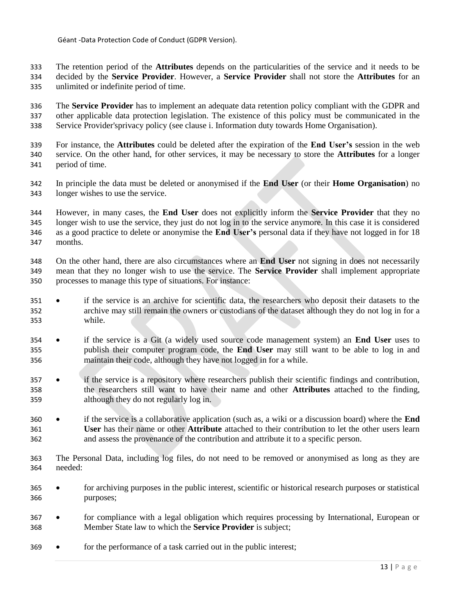The retention period of the **Attributes** depends on the particularities of the service and it needs to be decided by the **Service Provider**. However, a **Service Provider** shall not store the **Attributes** for an unlimited or indefinite period of time.

 The **Service Provider** has to implement an adequate data retention policy compliant with the GDPR and other applicable data protection legislation. The existence of this policy must be communicated in the Service Provider'sprivacy policy (see clause [i. Information duty towards Home Organisation\)](#page-15-0).

 For instance, the **Attributes** could be deleted after the expiration of the **End User's** session in the web service. On the other hand, for other services, it may be necessary to store the **Attributes** for a longer period of time.

 In principle the data must be deleted or anonymised if the **End User** (or their **Home Organisation**) no longer wishes to use the service.

 However, in many cases, the **End User** does not explicitly inform the **Service Provider** that they no longer wish to use the service, they just do not log in to the service anymore. In this case it is considered as a good practice to delete or anonymise the **End User's** personal data if they have not logged in for 18 months.

 On the other hand, there are also circumstances where an **End User** not signing in does not necessarily mean that they no longer wish to use the service. The **Service Provider** shall implement appropriate processes to manage this type of situations. For instance:

- 351 if the service is an archive for scientific data, the researchers who deposit their datasets to the archive may still remain the owners or custodians of the dataset although they do not log in for a while.
- 354 if the service is a Git (a widely used source code management system) an **End User** uses to publish their computer program code, the **End User** may still want to be able to log in and maintain their code, although they have not logged in for a while.
- $\bullet$  if the service is a repository where researchers publish their scientific findings and contribution, the researchers still want to have their name and other **Attributes** attached to the finding, although they do not regularly log in.
- 360 if the service is a collaborative application (such as, a wiki or a discussion board) where the **End User** has their name or other **Attribute** attached to their contribution to let the other users learn and assess the provenance of the contribution and attribute it to a specific person.
- The Personal Data, including log files, do not need to be removed or anonymised as long as they are needed:
- <sup>365</sup> for archiving purposes in the public interest, scientific or historical research purposes or statistical purposes;
- 367 for compliance with a legal obligation which requires processing by International, European or Member State law to which the **Service Provider** is subject;
- 369 for the performance of a task carried out in the public interest;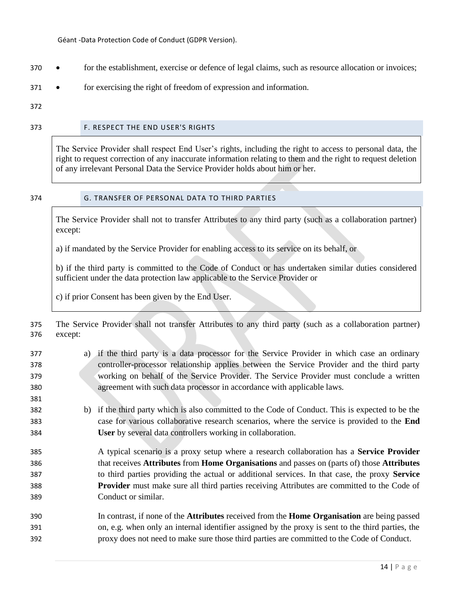- 370 for the establishment, exercise or defence of legal claims, such as resource allocation or invoices;
- 371 for exercising the right of freedom of expression and information.

#### <span id="page-13-0"></span>F. RESPECT THE END USER'S RIGHTS

The Service Provider shall respect End User's rights, including the right to access to personal data, the right to request correction of any inaccurate information relating to them and the right to request deletion of any irrelevant Personal Data the Service Provider holds about him or her.

#### <span id="page-13-1"></span>G. TRANSFER OF PERSONAL DATA TO THIRD PARTIES

The Service Provider shall not to transfer Attributes to any third party (such as a collaboration partner) except:

a) if mandated by the Service Provider for enabling access to its service on its behalf, or

b) if the third party is committed to the Code of Conduct or has undertaken similar duties considered sufficient under the data protection law applicable to the Service Provider or

c) if prior Consent has been given by the End User.

 The Service Provider shall not transfer Attributes to any third party (such as a collaboration partner) except:

- a) if the third party is a data processor for the Service Provider in which case an ordinary controller-processor relationship applies between the Service Provider and the third party working on behalf of the Service Provider. The Service Provider must conclude a written agreement with such data processor in accordance with applicable laws.
- b) if the third party which is also committed to the Code of Conduct. This is expected to be the case for various collaborative research scenarios, where the service is provided to the **End User** by several data controllers working in collaboration.
- A typical scenario is a proxy setup where a research collaboration has a **Service Provider** that receives **Attributes** from **Home Organisations** and passes on (parts of) those **Attributes** to third parties providing the actual or additional services. In that case, the proxy **Service Provider** must make sure all third parties receiving Attributes are committed to the Code of Conduct or similar.
- In contrast, if none of the **Attributes** received from the **Home Organisation** are being passed on, e.g. when only an internal identifier assigned by the proxy is sent to the third parties, the proxy does not need to make sure those third parties are committed to the Code of Conduct.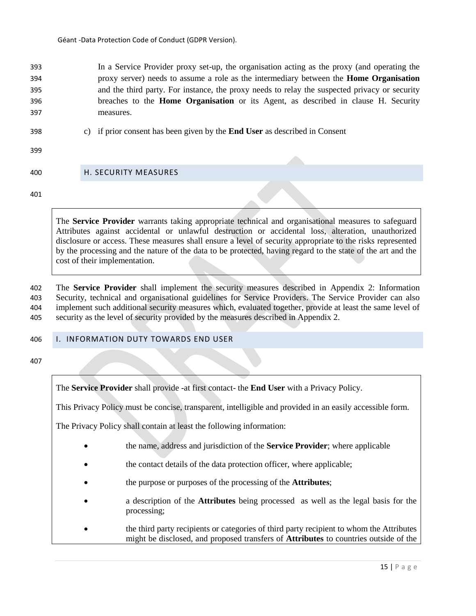In a Service Provider proxy set-up, the organisation acting as the proxy (and operating the proxy server) needs to assume a role as the intermediary between the **Home Organisation** and the third party. For instance, the proxy needs to relay the suspected privacy or security breaches to the **Home Organisation** or its Agent, as described in clause [H. Security](#page-14-0)  [measures.](#page-14-0)

398 c) if prior consent has been given by the **End User** as described in [Consent](#page-20-0)

399

<span id="page-14-0"></span>400 H. SECURITY MEASURES

401

The **Service Provider** warrants taking appropriate technical and organisational measures to safeguard Attributes against accidental or unlawful destruction or accidental loss, alteration, unauthorized disclosure or access. These measures shall ensure a level of security appropriate to the risks represented by the processing and the nature of the data to be protected, having regard to the state of the art and the cost of their implementation.

 The **Service Provider** shall implement the security measures described in [Appendix 2: Information](#page-29-0)  [Security, technical and organisational guidelines for Service Providers.](#page-29-0) The Service Provider can also implement such additional security measures which, evaluated together, provide at least the same level of security as the level of security provided by the measures described in Appendix 2.

#### <span id="page-14-1"></span>406 I. INFORMATION DUTY TOWARDS END USER

407

The **Service Provider** shall provide -at first contact- the **End User** with a Privacy Policy.

This Privacy Policy must be concise, transparent, intelligible and provided in an easily accessible form.

The Privacy Policy shall contain at least the following information:

- the name, address and jurisdiction of the **Service Provider**; where applicable
- the contact details of the data protection officer, where applicable;
- the purpose or purposes of the processing of the **Attributes**;
- a description of the **Attributes** being processed as well as the legal basis for the processing;
- the third party recipients or categories of third party recipient to whom the Attributes might be disclosed, and proposed transfers of **Attributes** to countries outside of the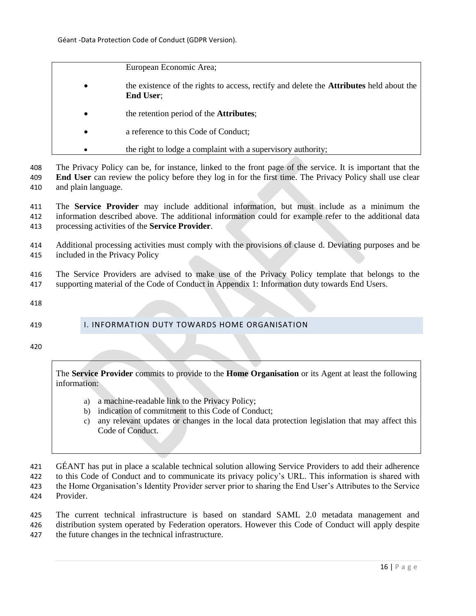European Economic Area;

- the existence of the rights to access, rectify and delete the **Attributes** held about the **End User**;
- the retention period of the **Attributes**;
- a reference to this Code of Conduct;
- the right to lodge a complaint with a supervisory authority;

 The Privacy Policy can be, for instance, linked to the front page of the service. It is important that the **End User** can review the policy before they log in for the first time. The Privacy Policy shall use clear and plain language.

 The **Service Provider** may include additional information, but must include as a minimum the information described above. The additional information could for example refer to the additional data processing activities of the **Service Provider**.

 Additional processing activities must comply with the provisions of clause [d. Deviating purposes](#page-11-0) and be included in the Privacy Policy

 The Service Providers are advised to make use of the Privacy Policy template that belongs to the supporting material of the Code of Conduct in [Appendix 1: Information duty towards End Users.](#page-21-0)

<span id="page-15-0"></span>I. INFORMATION DUTY TOWARDS HOME ORGANISATION

The **Service Provider** commits to provide to the **Home Organisation** or its Agent at least the following information:

- a) a machine-readable link to the Privacy Policy;
- b) indication of commitment to this Code of Conduct;
- c) any relevant updates or changes in the local data protection legislation that may affect this Code of Conduct.

GÉANT has put in place a scalable technical solution allowing Service Providers to add their adherence

to this Code of Conduct and to communicate its privacy policy's URL. This information is shared with

the Home Organisation's Identity Provider server prior to sharing the End User's Attributes to the Service

Provider.

 The current technical infrastructure is based on standard SAML 2.0 metadata management and distribution system operated by Federation operators. However this Code of Conduct will apply despite the future changes in the technical infrastructure.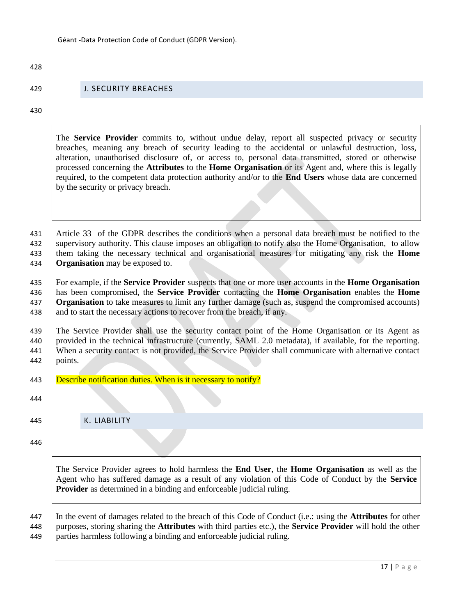#### <span id="page-16-0"></span>J. SECURITY BREACHES

The **Service Provider** commits to, without undue delay, report all suspected privacy or security breaches, meaning any breach of security leading to the accidental or unlawful destruction, loss, alteration, unauthorised disclosure of, or access to, personal data transmitted, stored or otherwise processed concerning the **Attributes** to the **Home Organisation** or its Agent and, where this is legally required, to the competent data protection authority and/or to the **End Users** whose data are concerned by the security or privacy breach.

 Article 33 of the GDPR describes the conditions when a personal data breach must be notified to the supervisory authority. This clause imposes an obligation to notify also the Home Organisation, to allow them taking the necessary technical and organisational measures for mitigating any risk the **Home Organisation** may be exposed to.

For example, if the **Service Provider** suspects that one or more user accounts in the **Home Organisation**

 has been compromised, the **Service Provider** contacting the **Home Organisation** enables the **Home Organisation** to take measures to limit any further damage (such as, suspend the compromised accounts)

and to start the necessary actions to recover from the breach, if any.

 The Service Provider shall use the security contact point of the Home Organisation or its Agent as provided in the technical infrastructure (currently, SAML 2.0 metadata), if available, for the reporting. When a security contact is not provided, the Service Provider shall communicate with alternative contact points.

443 Describe notification duties. When is it necessary to notify?

<span id="page-16-1"></span>K. LIABILITY

The Service Provider agrees to hold harmless the **End User**, the **Home Organisation** as well as the Agent who has suffered damage as a result of any violation of this Code of Conduct by the **Service Provider** as determined in a binding and enforceable judicial ruling.

 In the event of damages related to the breach of this Code of Conduct (i.e.: using the **Attributes** for other purposes, storing sharing the **Attributes** with third parties etc.), the **Service Provider** will hold the other

parties harmless following a binding and enforceable judicial ruling.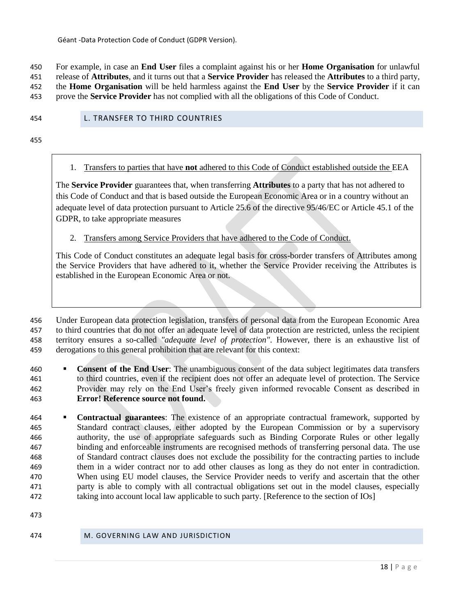For example, in case an **End User** files a complaint against his or her **Home Organisation** for unlawful release of **Attributes**, and it turns out that a **Service Provider** has released the **Attributes** to a third party, the **Home Organisation** will be held harmless against the **End User** by the **Service Provider** if it can prove the **Service Provider** has not complied with all the obligations of this Code of Conduct.

<span id="page-17-0"></span>L. TRANSFER TO THIRD COUNTRIES

1. Transfers to parties that have **not** adhered to this Code of Conduct established outside the EEA

The **Service Provider** guarantees that, when transferring **Attributes** to a party that has not adhered to this Code of Conduct and that is based outside the European Economic Area or in a country without an adequate level of data protection pursuant to Article 25.6 of the directive 95/46/EC or Article 45.1 of the GDPR, to take appropriate measures

2. Transfers among Service Providers that have adhered to the Code of Conduct.

This Code of Conduct constitutes an adequate legal basis for cross-border transfers of Attributes among the Service Providers that have adhered to it, whether the Service Provider receiving the Attributes is established in the European Economic Area or not.

 Under European data protection legislation, transfers of personal data from the European Economic Area to third countries that do not offer an adequate level of data protection are restricted, unless the recipient territory ensures a so-called *"adequate level of protection"*. However, there is an exhaustive list of derogations to this general prohibition that are relevant for this context:

- **Consent of the End User**: The unambiguous consent of the data subject legitimates data transfers to third countries, even if the recipient does not offer an adequate level of protection. The Service Provider may rely on the End User's freely given informed revocable Consent as described in **Error! Reference source not found.**
- **Contractual guarantees**: The existence of an appropriate contractual framework, supported by Standard contract clauses, either adopted by the European Commission or by a supervisory authority, the use of appropriate safeguards such as Binding Corporate Rules or other legally binding and enforceable instruments are recognised methods of transferring personal data. The use of Standard contract clauses does not exclude the possibility for the contracting parties to include them in a wider contract nor to add other clauses as long as they do not enter in contradiction. When using EU model clauses, the Service Provider needs to verify and ascertain that the other party is able to comply with all contractual obligations set out in the model clauses, especially taking into account local law applicable to such party. [Reference to the section of IOs]
- 
- <span id="page-17-1"></span>M. GOVERNING LAW AND JURISDICTION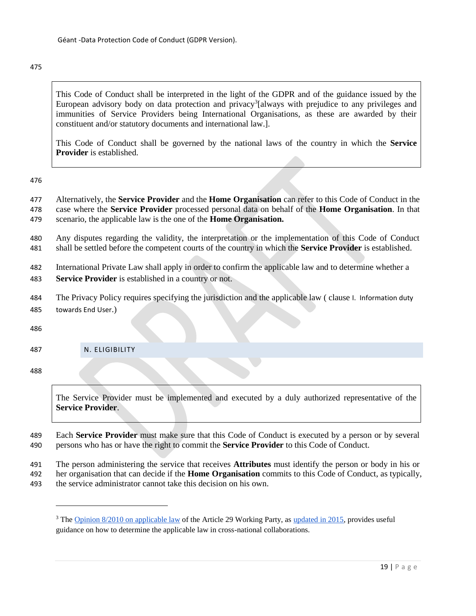This Code of Conduct shall be interpreted in the light of the GDPR and of the guidance issued by the European advisory body on data protection and privacy<sup>3</sup>[always with prejudice to any privileges and immunities of Service Providers being International Organisations, as these are awarded by their constituent and/or statutory documents and international law.].

This Code of Conduct shall be governed by the national laws of the country in which the **Service Provider** is established.

 Alternatively, the **Service Provider** and the **Home Organisation** can refer to this Code of Conduct in the case where the **Service Provider** processed personal data on behalf of the **Home Organisation**. In that scenario, the applicable law is the one of the **Home Organisation.**

- Any disputes regarding the validity, the interpretation or the implementation of this Code of Conduct shall be settled before the competent courts of the country in which the **Service Provider** is established.
- International Private Law shall apply in order to confirm the applicable law and to determine whether a **Service Provider** is established in a country or not.
- The Privacy Policy requires specifying the jurisdiction and the applicable law ( clause [I. Information duty](#page-14-1)  [towards End User](#page-14-1).)

<span id="page-18-0"></span>N. ELIGIBILITY

 $\overline{a}$ 

The Service Provider must be implemented and executed by a duly authorized representative of the **Service Provider**.

 Each **Service Provider** must make sure that this Code of Conduct is executed by a person or by several persons who has or have the right to commit the **Service Provider** to this Code of Conduct.

 The person administering the service that receives **Attributes** must identify the person or body in his or her organisation that can decide if the **Home Organisation** commits to this Code of Conduct, as typically,

the service administrator cannot take this decision on his own.

<sup>&</sup>lt;sup>3</sup> Th[e](http://ec.europa.eu/justice/data-protection/article-29/documentation/opinion-recommendation/files/2010/wp179_en.pdf) [Opinion 8/2010 on applicable law](http://ec.europa.eu/justice/data-protection/article-29/documentation/opinion-recommendation/files/2010/wp179_en.pdf) of the Article 29 Working Party, as [updated in 2015,](http://ec.europa.eu/justice/data-protection/article-29/documentation/opinion-recommendation/files/2015/wp179_en_update.pdf) provides useful guidance on how to determine the applicable law in cross-national collaborations.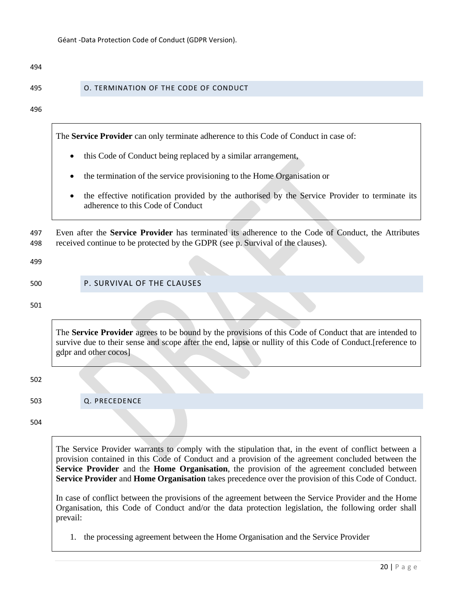#### <span id="page-19-0"></span>495 O. TERMINATION OF THE CODE OF CONDUCT

#### 496

The **Service Provider** can only terminate adherence to this Code of Conduct in case of:

- this Code of Conduct being replaced by a similar arrangement,
- the termination of the service provisioning to the Home Organisation or
- the effective notification provided by the authorised by the Service Provider to terminate its adherence to this Code of Conduct

497 Even after the **Service Provider** has terminated its adherence to the Code of Conduct, the Attributes 498 received continue to be protected by the GDPR (see p. [Survival of the clauses\)](#page-19-1).

#### 499

<span id="page-19-1"></span>

| 500 | P. SURVIVAL OF THE CLAUSES |
|-----|----------------------------|
|     |                            |

501

The **Service Provider** agrees to be bound by the provisions of this Code of Conduct that are intended to survive due to their sense and scope after the end, lapse or nullity of this Code of Conduct.[reference to gdpr and other cocos]

502

<span id="page-19-2"></span>503 Q. PRECEDENCE

504

The Service Provider warrants to comply with the stipulation that, in the event of conflict between a provision contained in this Code of Conduct and a provision of the agreement concluded between the **Service Provider** and the **Home Organisation**, the provision of the agreement concluded between **Service Provider** and **Home Organisation** takes precedence over the provision of this Code of Conduct.

In case of conflict between the provisions of the agreement between the Service Provider and the Home Organisation, this Code of Conduct and/or the data protection legislation, the following order shall prevail:

1. the processing agreement between the Home Organisation and the Service Provider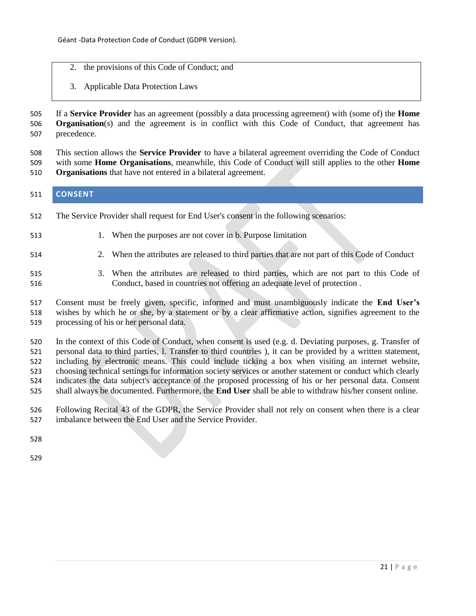- 2. the provisions of this Code of Conduct; and
- 3. Applicable Data Protection Laws

 If a **Service Provider** has an agreement (possibly a data processing agreement) with (some of) the **Home Organisation**(s) and the agreement is in conflict with this Code of Conduct, that agreement has precedence.

 This section allows the **Service Provider** to have a bilateral agreement overriding the Code of Conduct with some **Home Organisations**, meanwhile, this Code of Conduct will still applies to the other **Home** 

**Organisations** that have not entered in a bilateral agreement.

#### <span id="page-20-0"></span>**CONSENT**

- The Service Provider shall request for End User's consent in the following scenarios:
- 1. When the purposes are not cover in [b. Purpose limitation](#page-8-0)
- 2. When the attributes are released to third parties that are not part of this Code of Conduct
- 3. When the attributes are released to third parties, which are not part to this Code of Conduct, based in countries not offering an adequate level of protection .

 Consent must be freely given, specific, informed and must unambiguously indicate the **End User's** wishes by which he or she, by a statement or by a clear affirmative action, signifies agreement to the processing of his or her personal data.

 In the context of this Code of Conduct, when consent is used (e.g. [d. Deviating purposes,](#page-11-0) [g. Transfer of](#page-13-1)  [personal data to third parties,](#page-13-1) [l. Transfer to third countries \)](#page-17-0), it can be provided by a written statement, including by electronic means. This could include ticking a box when visiting an internet website, choosing technical settings for information society services or another statement or conduct which clearly indicates the data subject's acceptance of the proposed processing of his or her personal data. Consent shall always be documented. Furthermore, the **End User** shall be able to withdraw his/her consent online.

 Following Recital 43 of the GDPR, the Service Provider shall not rely on consent when there is a clear imbalance between the End User and the Service Provider.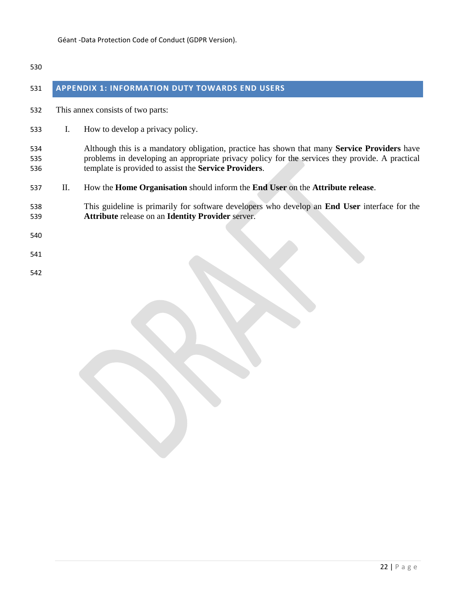<span id="page-21-0"></span>

| 531               |    | <b>APPENDIX 1: INFORMATION DUTY TOWARDS END USERS</b>                                                                                                                                                                                                    |
|-------------------|----|----------------------------------------------------------------------------------------------------------------------------------------------------------------------------------------------------------------------------------------------------------|
| 532               |    | This annex consists of two parts:                                                                                                                                                                                                                        |
| 533               | Ι. | How to develop a privacy policy.                                                                                                                                                                                                                         |
| 534<br>535<br>536 |    | Although this is a mandatory obligation, practice has shown that many Service Providers have<br>problems in developing an appropriate privacy policy for the services they provide. A practical<br>template is provided to assist the Service Providers. |
| 537               | П. | How the Home Organisation should inform the End User on the Attribute release.                                                                                                                                                                           |
| 538<br>539        |    | This guideline is primarily for software developers who develop an <b>End User</b> interface for the<br><b>Attribute release on an Identity Provider server.</b>                                                                                         |
| 540               |    |                                                                                                                                                                                                                                                          |
| 541               |    |                                                                                                                                                                                                                                                          |
| 542               |    |                                                                                                                                                                                                                                                          |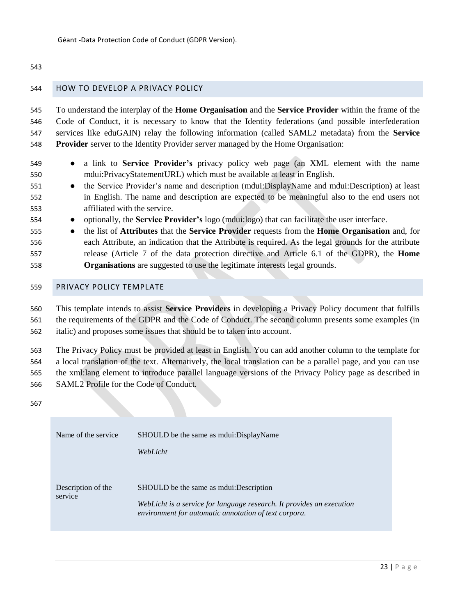#### HOW TO DEVELOP A PRIVACY POLICY

 To understand the interplay of the **Home Organisation** and the **Service Provider** within the frame of the Code of Conduct, it is necessary to know that the Identity federations (and possible interfederation services like eduGAIN) relay the following information (called SAML2 metadata) from the **Service Provider** server to the Identity Provider server managed by the Home Organisation:

- a link to **Service Provider's** privacy policy web page (an XML element with the name mdui:PrivacyStatementURL) which must be available at least in English.
- the Service Provider's name and description (mdui:DisplayName and mdui:Description) at least in English. The name and description are expected to be meaningful also to the end users not affiliated with the service.
- optionally, the **Service Provider's** logo (mdui:logo) that can facilitate the user interface.
- the list of **Attributes** that the **Service Provider** requests from the **Home Organisation** and, for each Attribute, an indication that the Attribute is required. As the legal grounds for the attribute release (Article 7 of the data protection directive and Article 6.1 of the GDPR), the **Home Organisations** are suggested to use the legitimate interests legal grounds.

#### PRIVACY POLICY TEMPLATE

 This template intends to assist **Service Providers** in developing a Privacy Policy document that fulfills the requirements of the GDPR and the Code of Conduct. The second column presents some examples (in

italic) and proposes some issues that should be to taken into account.

 The Privacy Policy must be provided at least in English. You can add another column to the template for a local translation of the text. Alternatively, the local translation can be a parallel page, and you can use

the xml:lang element to introduce parallel language versions of the Privacy Policy page as described in

SAML2 Profile for the Code of Conduct.

| Name of the service           | SHOULD be the same as mount DisplayName<br>WebLicht                                                                                                                                                    |
|-------------------------------|--------------------------------------------------------------------------------------------------------------------------------------------------------------------------------------------------------|
| Description of the<br>service | SHOULD be the same as mount independent SHOULD be the same as mount.<br>WebLicht is a service for language research. It provides an execution<br>environment for automatic annotation of text corpora. |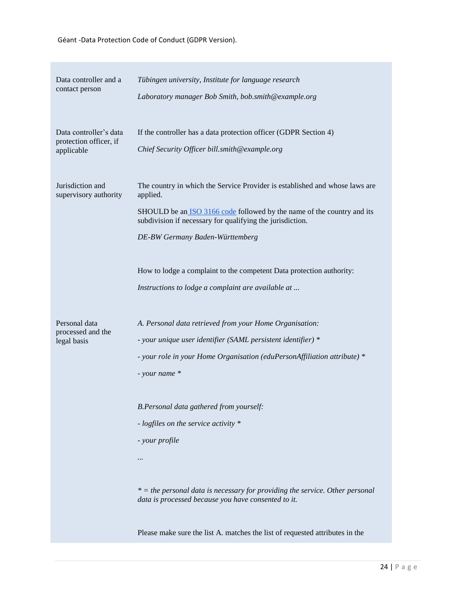| Data controller and a<br>contact person<br>Data controller's data<br>protection officer, if<br>applicable | Tübingen university, Institute for language research<br>Laboratory manager Bob Smith, bob.smith@example.org<br>If the controller has a data protection officer (GDPR Section 4)<br>Chief Security Officer bill.smith@example.org                                         |
|-----------------------------------------------------------------------------------------------------------|--------------------------------------------------------------------------------------------------------------------------------------------------------------------------------------------------------------------------------------------------------------------------|
| Jurisdiction and<br>supervisory authority                                                                 | The country in which the Service Provider is established and whose laws are<br>applied.<br>SHOULD be an <b>ISO</b> 3166 code followed by the name of the country and its<br>subdivision if necessary for qualifying the jurisdiction.<br>DE-BW Germany Baden-Württemberg |
|                                                                                                           | How to lodge a complaint to the competent Data protection authority:<br>Instructions to lodge a complaint are available at                                                                                                                                               |
| Personal data<br>processed and the<br>legal basis                                                         | A. Personal data retrieved from your Home Organisation:<br>- your unique user identifier (SAML persistent identifier) *<br>- your role in your Home Organisation (eduPersonAffiliation attribute) *<br>- your name *                                                     |
|                                                                                                           | B.Personal data gathered from yourself:<br>- logfiles on the service activity *<br>- your profile<br>$\cdots$<br>$* =$ the personal data is necessary for providing the service. Other personal<br>data is processed because you have consented to it.                   |
|                                                                                                           | Please make sure the list A. matches the list of requested attributes in the                                                                                                                                                                                             |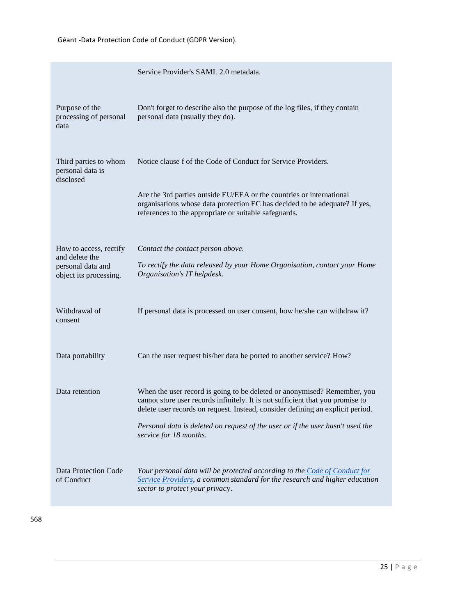|                                                               | Service Provider's SAML 2.0 metadata.                                                                                                                                                                                                        |
|---------------------------------------------------------------|----------------------------------------------------------------------------------------------------------------------------------------------------------------------------------------------------------------------------------------------|
| Purpose of the<br>processing of personal<br>data              | Don't forget to describe also the purpose of the log files, if they contain<br>personal data (usually they do).                                                                                                                              |
| Third parties to whom<br>personal data is<br>disclosed        | Notice clause f of the Code of Conduct for Service Providers.                                                                                                                                                                                |
|                                                               | Are the 3rd parties outside EU/EEA or the countries or international<br>organisations whose data protection EC has decided to be adequate? If yes,<br>references to the appropriate or suitable safeguards.                                  |
| How to access, rectify                                        | Contact the contact person above.                                                                                                                                                                                                            |
| and delete the<br>personal data and<br>object its processing. | To rectify the data released by your Home Organisation, contact your Home<br>Organisation's IT helpdesk.                                                                                                                                     |
| Withdrawal of<br>consent                                      | If personal data is processed on user consent, how he/she can withdraw it?                                                                                                                                                                   |
| Data portability                                              | Can the user request his/her data be ported to another service? How?                                                                                                                                                                         |
| Data retention                                                | When the user record is going to be deleted or anonymised? Remember, you<br>cannot store user records infinitely. It is not sufficient that you promise to<br>delete user records on request. Instead, consider defining an explicit period. |
|                                                               | Personal data is deleted on request of the user or if the user hasn't used the<br>service for 18 months.                                                                                                                                     |
| Data Protection Code<br>of Conduct                            | Your personal data will be protected according to the Code of Conduct for<br>Service Providers, a common standard for the research and higher education<br>sector to protect your privacy.                                                   |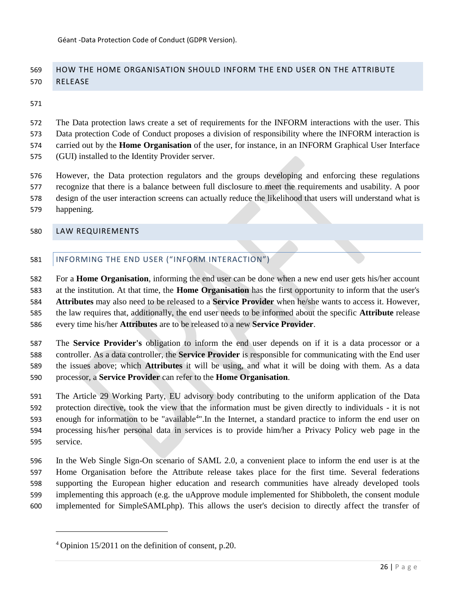### HOW THE HOME ORGANISATION SHOULD INFORM THE END USER ON THE ATTRIBUTE RELEASE

 The Data protection laws create a set of requirements for the INFORM interactions with the user. This Data protection Code of Conduct proposes a division of responsibility where the INFORM interaction is carried out by the **Home Organisation** of the user, for instance, in an INFORM Graphical User Interface (GUI) installed to the Identity Provider server.

- However, the Data protection regulators and the groups developing and enforcing these regulations recognize that there is a balance between full disclosure to meet the requirements and usability. A poor design of the user interaction screens can actually reduce the likelihood that users will understand what is
- happening.

 $\overline{a}$ 

#### LAW REQUIREMENTS

#### 581 | INFORMING THE END USER ("INFORM INTERACTION")

 For a **Home Organisation**, informing the end user can be done when a new end user gets his/her account at the institution. At that time, the **Home Organisation** has the first opportunity to inform that the user's **Attributes** may also need to be released to a **Service Provider** when he/she wants to access it. However, the law requires that, additionally, the end user needs to be informed about the specific **Attribute** release every time his/her **Attributes** are to be released to a new **Service Provider**.

 The **Service Provider's** obligation to inform the end user depends on if it is a data processor or a controller. As a data controller, the **Service Provider** is responsible for communicating with the End user the issues above; which **Attributes** it will be using, and what it will be doing with them. As a data processor, a **Service Provider** can refer to the **Home Organisation**.

 The Article 29 Working Party, EU advisory body contributing to the uniform application of the Data protection directive, took the view that the information must be given directly to individuals - it is not 593 enough for information to be "available<sup>4</sup>". In the Internet, a standard practice to inform the end user on processing his/her personal data in services is to provide him/her a Privacy Policy web page in the service.

 In the Web Single Sign-On scenario of SAML 2.0, a convenient place to inform the end user is at the Home Organisation before the Attribute release takes place for the first time. Several federations supporting the European higher education and research communities have already developed tools implementing this approach (e.g. the uApprove module implemented for Shibboleth, the consent module implemented for SimpleSAMLphp). This allows the user's decision to directly affect the transfer of

Opinion 15/2011 on the definition of consent, p.20.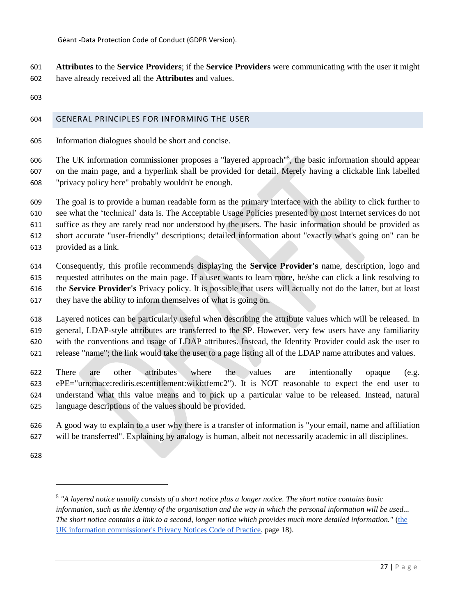**Attributes** to the **Service Providers**; if the **Service Providers** were communicating with the user it might have already received all the **Attributes** and values.

#### GENERAL PRINCIPLES FOR INFORMING THE USER

Information dialogues should be short and concise.

606 The UK information commissioner proposes a "layered approach"<sup>5</sup>, the basic information should appear on the main page, and a hyperlink shall be provided for detail. Merely having a clickable link labelled "privacy policy here" probably wouldn't be enough.

 The goal is to provide a human readable form as the primary interface with the ability to click further to see what the 'technical' data is. The Acceptable Usage Policies presented by most Internet services do not suffice as they are rarely read nor understood by the users. The basic information should be provided as short accurate "user-friendly" descriptions; detailed information about "exactly what's going on" can be provided as a link.

- Consequently, this profile recommends displaying the **Service Provider's** name, description, logo and requested attributes on the main page. If a user wants to learn more, he/she can click a link resolving to the **Service Provider's** Privacy policy. It is possible that users will actually not do the latter, but at least they have the ability to inform themselves of what is going on.
- Layered notices can be particularly useful when describing the attribute values which will be released. In general, LDAP-style attributes are transferred to the SP. However, very few users have any familiarity with the conventions and usage of LDAP attributes. Instead, the Identity Provider could ask the user to release "name"; the link would take the user to a page listing all of the LDAP name attributes and values.

 There are other attributes where the values are intentionally opaque (e.g. ePE="urn:mace:rediris.es:entitlement:wiki:tfemc2"). It is NOT reasonable to expect the end user to understand what this value means and to pick up a particular value to be released. Instead, natural language descriptions of the values should be provided.

 A good way to explain to a user why there is a transfer of information is "your email, name and affiliation will be transferred". Explaining by analogy is human, albeit not necessarily academic in all disciplines.

 $\overline{a}$ 

 *"A layered notice usually consists of a short notice plus a longer notice. The short notice contains basic information, such as the identity of the organisation and the way in which the personal information will be used... The short notice contains a link to a second, longer notice which provides much more detailed information."* [\(the](http://www.ico.gov.uk/for_organisations/data_protection/topic_guides/privacy_notices.aspx)  [UK information commissioner's Privacy Notices Code of Practice,](http://www.ico.gov.uk/for_organisations/data_protection/topic_guides/privacy_notices.aspx) page 18).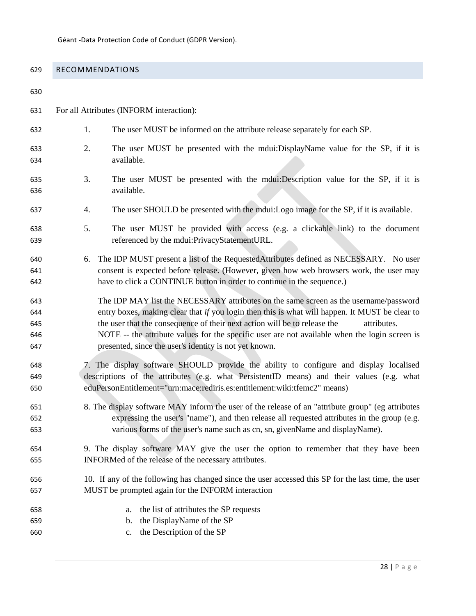#### RECOMMENDATIONS

| 630                             |    |                                                                                                                                                                                                                                                                                                                                                                                                                                                |
|---------------------------------|----|------------------------------------------------------------------------------------------------------------------------------------------------------------------------------------------------------------------------------------------------------------------------------------------------------------------------------------------------------------------------------------------------------------------------------------------------|
| 631                             |    | For all Attributes (INFORM interaction):                                                                                                                                                                                                                                                                                                                                                                                                       |
| 632                             | 1. | The user MUST be informed on the attribute release separately for each SP.                                                                                                                                                                                                                                                                                                                                                                     |
| 633<br>634                      | 2. | The user MUST be presented with the mdui:DisplayName value for the SP, if it is<br>available.                                                                                                                                                                                                                                                                                                                                                  |
| 635<br>636                      | 3. | The user MUST be presented with the mdui:Description value for the SP, if it is<br>available.                                                                                                                                                                                                                                                                                                                                                  |
| 637                             | 4. | The user SHOULD be presented with the mdui:Logo image for the SP, if it is available.                                                                                                                                                                                                                                                                                                                                                          |
| 638<br>639                      | 5. | The user MUST be provided with access (e.g. a clickable link) to the document<br>referenced by the mdui:PrivacyStatementURL.                                                                                                                                                                                                                                                                                                                   |
| 640<br>641<br>642               | 6. | The IDP MUST present a list of the Requested Attributes defined as NECESSARY. No user<br>consent is expected before release. (However, given how web browsers work, the user may<br>have to click a CONTINUE button in order to continue in the sequence.)                                                                                                                                                                                     |
| 643<br>644<br>645<br>646<br>647 |    | The IDP MAY list the NECESSARY attributes on the same screen as the username/password<br>entry boxes, making clear that if you login then this is what will happen. It MUST be clear to<br>the user that the consequence of their next action will be to release the<br>attributes.<br>NOTE -- the attribute values for the specific user are not available when the login screen is<br>presented, since the user's identity is not yet known. |
| 648<br>649<br>650               |    | 7. The display software SHOULD provide the ability to configure and display localised<br>descriptions of the attributes (e.g. what PersistentID means) and their values (e.g. what<br>eduPersonEntitlement="urn:mace:rediris.es:entitlement:wiki:tfemc2" means)                                                                                                                                                                                |
| 651<br>652<br>653               |    | 8. The display software MAY inform the user of the release of an "attribute group" (eg attributes<br>expressing the user's "name"), and then release all requested attributes in the group (e.g.<br>various forms of the user's name such as cn, sn, givenName and displayName).                                                                                                                                                               |
| 654<br>655                      |    | 9. The display software MAY give the user the option to remember that they have been<br>INFORMed of the release of the necessary attributes.                                                                                                                                                                                                                                                                                                   |
| 656<br>657                      |    | 10. If any of the following has changed since the user accessed this SP for the last time, the user<br>MUST be prompted again for the INFORM interaction                                                                                                                                                                                                                                                                                       |
| 658<br>659<br>660               |    | the list of attributes the SP requests<br>a.<br>the DisplayName of the SP<br>b.<br>the Description of the SP<br>c.                                                                                                                                                                                                                                                                                                                             |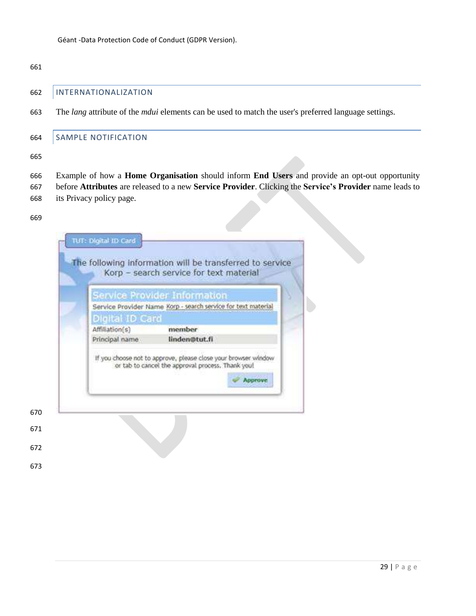#### INTERNATIONALIZATION

The *lang* attribute of the *mdui* elements can be used to match the user's preferred language settings.

#### SAMPLE NOTIFICATION

 Example of how a **Home Organisation** should inform **End Users** and provide an opt-out opportunity before **Attributes** are released to a new **Service Provider**. Clicking the **Service's Provider** name leads to its Privacy policy page.

| Service Provider Name Korp - search service for text material<br>Digital ID Card<br>member<br>Affiliation(s)<br>linden@tut.fi<br>Principal name |
|-------------------------------------------------------------------------------------------------------------------------------------------------|
|                                                                                                                                                 |
|                                                                                                                                                 |
|                                                                                                                                                 |
| If you choose not to approve, please close your browser window<br>or tab to cancel the approval process. Thank you!<br>Approve                  |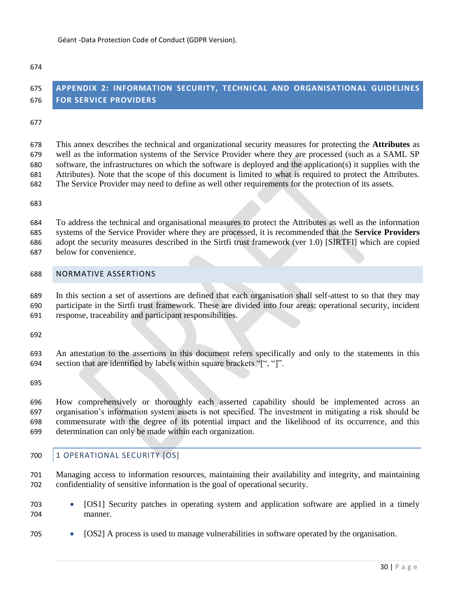# <span id="page-29-0"></span> **APPENDIX 2: INFORMATION SECURITY, TECHNICAL AND ORGANISATIONAL GUIDELINES FOR SERVICE PROVIDERS**

 This annex describes the technical and organizational security measures for protecting the **Attributes** as well as the information systems of the Service Provider where they are processed (such as a SAML SP software, the infrastructures on which the software is deployed and the application(s) it supplies with the Attributes). Note that the scope of this document is limited to what is required to protect the Attributes. The Service Provider may need to define as well other requirements for the protection of its assets.

 To address the technical and organisational measures to protect the Attributes as well as the information systems of the Service Provider where they are processed, it is recommended that the **Service Providers** adopt the security measures described in the Sirtfi trust framework (ver 1.0) [SIRTFI] which are copied below for convenience.

#### <span id="page-29-1"></span>NORMATIVE ASSERTIONS

In this section a set of assertions are defined that each organisation shall self-attest to so that they may

 participate in the Sirtfi trust framework. These are divided into four areas: operational security, incident response, traceability and participant responsibilities.

 An attestation to the assertions in this document refers specifically and only to the statements in this section that are identified by labels within square brackets "[", "]".

 How comprehensively or thoroughly each asserted capability should be implemented across an organisation's information system assets is not specified. The investment in mitigating a risk should be commensurate with the degree of its potential impact and the likelihood of its occurrence, and this determination can only be made within each organization.

#### <span id="page-29-2"></span>700 | 1 OPERATIONAL SECURITY [OS]

- Managing access to information resources, maintaining their availability and integrity, and maintaining confidentiality of sensitive information is the goal of operational security.
- 703 [OS1] Security patches in operating system and application software are applied in a timely manner.
- 705 [OS2] A process is used to manage vulnerabilities in software operated by the organisation.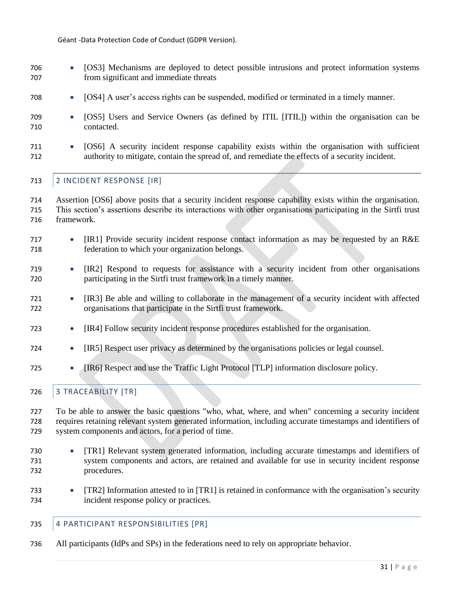- [OS3] Mechanisms are deployed to detect possible intrusions and protect information systems from significant and immediate threats
- 708 [OS4] A user's access rights can be suspended, modified or terminated in a timely manner.
- [OS5] Users and Service Owners (as defined by ITIL [ITIL]) within the organisation can be contacted.
- 711 [OS6] A security incident response capability exists within the organisation with sufficient authority to mitigate, contain the spread of, and remediate the effects of a security incident.

#### <span id="page-30-0"></span>713 | 2 INCIDENT RESPONSE [IR]

 Assertion [OS6] above posits that a security incident response capability exists within the organisation. This section's assertions describe its interactions with other organisations participating in the Sirtfi trust framework.

- 717 [IR1] Provide security incident response contact information as may be requested by an R&E federation to which your organization belongs.
- [IR2] Respond to requests for assistance with a security incident from other organisations participating in the Sirtfi trust framework in a timely manner.
- 721 [IR3] Be able and willing to collaborate in the management of a security incident with affected organisations that participate in the Sirtfi trust framework.
- **IR41** Follow security incident response procedures established for the organisation.
- **IR5**] Respect user privacy as determined by the organisations policies or legal counsel.
- **IR6**] Respect and use the Traffic Light Protocol [TLP] information disclosure policy.

#### <span id="page-30-1"></span>726 3 TRACEABILITY [TR]

 To be able to answer the basic questions "who, what, where, and when" concerning a security incident requires retaining relevant system generated information, including accurate timestamps and identifiers of system components and actors, for a period of time.

- 730 [TR1] Relevant system generated information, including accurate timestamps and identifiers of system components and actors, are retained and available for use in security incident response procedures.
- **•** [TR2] Information attested to in [TR1] is retained in conformance with the organisation's security incident response policy or practices.

#### <span id="page-30-2"></span>735 4 PARTICIPANT RESPONSIBILITIES [PR]

All participants (IdPs and SPs) in the federations need to rely on appropriate behavior.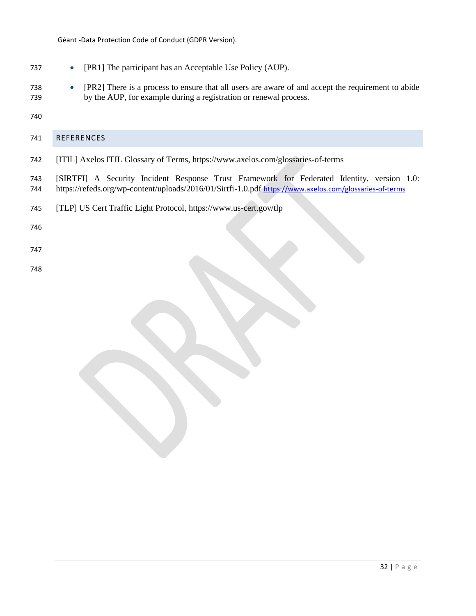- 737 [PR1] The participant has an Acceptable Use Policy (AUP).
- PR2] There is a process to ensure that all users are aware of and accept the requirement to abide by the AUP, for example during a registration or renewal process.
- 

#### <span id="page-31-0"></span>REFERENCES

- [ITIL] Axelos ITIL Glossary of Terms, <https://www.axelos.com/glossaries-of-terms>
- [SIRTFI] A Security Incident Response Trust Framework for Federated Identity, version 1.0: <https://refeds.org/wp-content/uploads/2016/01/Sirtfi-1.0.pdf> <https://www.axelos.com/glossaries-of-terms>
- [TLP] US Cert Traffic Light Protocol, <https://www.us-cert.gov/tlp>
- 
- 
-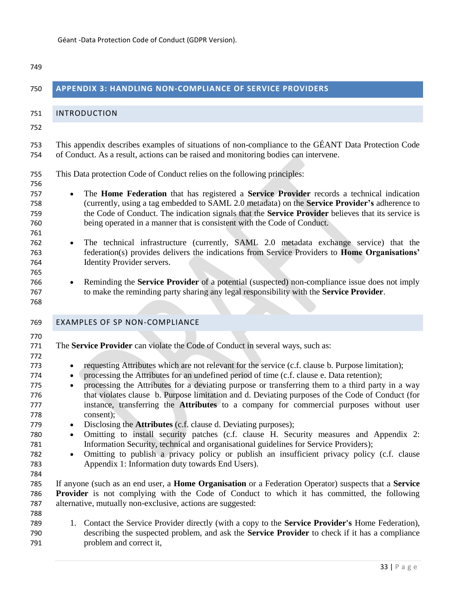<span id="page-32-2"></span><span id="page-32-1"></span><span id="page-32-0"></span>

| 749                                    |                                                                                                                                                                                                                                                                                                                                                                                                                                             |
|----------------------------------------|---------------------------------------------------------------------------------------------------------------------------------------------------------------------------------------------------------------------------------------------------------------------------------------------------------------------------------------------------------------------------------------------------------------------------------------------|
| 750                                    | <b>APPENDIX 3: HANDLING NON-COMPLIANCE OF SERVICE PROVIDERS</b>                                                                                                                                                                                                                                                                                                                                                                             |
| 751                                    | <b>INTRODUCTION</b>                                                                                                                                                                                                                                                                                                                                                                                                                         |
| 752                                    |                                                                                                                                                                                                                                                                                                                                                                                                                                             |
| 753<br>754                             | This appendix describes examples of situations of non-compliance to the GÉANT Data Protection Code<br>of Conduct. As a result, actions can be raised and monitoring bodies can intervene.                                                                                                                                                                                                                                                   |
| 755<br>756                             | This Data protection Code of Conduct relies on the following principles:                                                                                                                                                                                                                                                                                                                                                                    |
| 757<br>758<br>759<br>760<br>761        | The Home Federation that has registered a Service Provider records a technical indication<br>$\bullet$<br>(currently, using a tag embedded to SAML 2.0 metadata) on the Service Provider's adherence to<br>the Code of Conduct. The indication signals that the Service Provider believes that its service is<br>being operated in a manner that is consistent with the Code of Conduct.                                                    |
| 762<br>763<br>764<br>765               | The technical infrastructure (currently, SAML 2.0 metadata exchange service) that the<br>$\bullet$<br>federation(s) provides delivers the indications from Service Providers to <b>Home Organisations'</b><br>Identity Provider servers.                                                                                                                                                                                                    |
| 766<br>767<br>768                      | Reminding the Service Provider of a potential (suspected) non-compliance issue does not imply<br>$\bullet$<br>to make the reminding party sharing any legal responsibility with the Service Provider.                                                                                                                                                                                                                                       |
| 769                                    | <b>EXAMPLES OF SP NON-COMPLIANCE</b>                                                                                                                                                                                                                                                                                                                                                                                                        |
| 770<br>771<br>772<br>773               | The Service Provider can violate the Code of Conduct in several ways, such as:<br>requesting Attributes which are not relevant for the service (c.f. clause b. Purpose limitation);<br>$\bullet$                                                                                                                                                                                                                                            |
| 774<br>775<br>776<br>777<br>778        | processing the Attributes for an undefined period of time (c.f. clause e. Data retention);<br>$\bullet$<br>processing the Attributes for a deviating purpose or transferring them to a third party in a way<br>$\bullet$<br>that violates clause b. Purpose limitation and d. Deviating purposes of the Code of Conduct (for<br>instance, transferring the <b>Attributes</b> to a company for commercial purposes without user<br>consent); |
| 779<br>780<br>781<br>782<br>783<br>784 | Disclosing the <b>Attributes</b> (c.f. clause d. Deviating purposes);<br>Omitting to install security patches (c.f. clause H. Security measures and Appendix 2:<br>$\bullet$<br>Information Security, technical and organisational guidelines for Service Providers);<br>Omitting to publish a privacy policy or publish an insufficient privacy policy (c.f. clause<br>$\bullet$<br>Appendix 1: Information duty towards End Users).       |
| 785<br>786<br>787                      | If anyone (such as an end user, a <b>Home Organisation</b> or a Federation Operator) suspects that a <b>Service</b><br><b>Provider</b> is not complying with the Code of Conduct to which it has committed, the following<br>alternative, mutually non-exclusive, actions are suggested:                                                                                                                                                    |
| 788<br>789<br>790<br>791               | Contact the Service Provider directly (with a copy to the <b>Service Provider's</b> Home Federation),<br>1.<br>describing the suspected problem, and ask the <b>Service Provider</b> to check if it has a compliance<br>problem and correct it,                                                                                                                                                                                             |